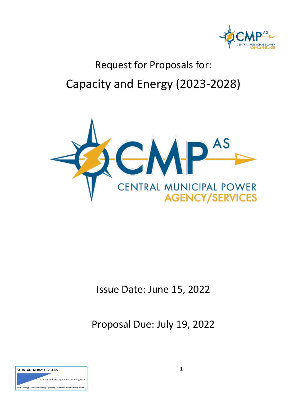

# Request for Proposals for: Capacity and Energy (2023-2028)



## Issue Date: June 15, 2022

Proposal Due: July 19, 2022

| <b>PATRYLAK ENERGY ADVISORS</b>                                                       |  |  |  |  |
|---------------------------------------------------------------------------------------|--|--|--|--|
| Strategy and Management Consulting Firm                                               |  |  |  |  |
| M&A   Strategy   Financial Advisory   Regulatory   Testimony   Power & Energy Markets |  |  |  |  |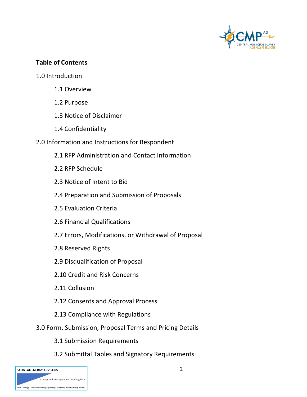

#### **Table of Contents**

- 1.0 Introduction
	- 1.1 Overview
	- 1.2 Purpose
	- 1.3 Notice of Disclaimer
	- 1.4 Confidentiality
- 2.0 Information and Instructions for Respondent
	- 2.1 RFP Administration and Contact Information
	- 2.2 RFP Schedule
	- 2.3 Notice of Intent to Bid
	- 2.4 Preparation and Submission of Proposals
	- 2.5 Evaluation Criteria
	- 2.6 Financial Qualifications
	- 2.7 Errors, Modifications, or Withdrawal of Proposal
	- 2.8 Reserved Rights
	- 2.9 Disqualification of Proposal
	- 2.10 Credit and Risk Concerns
	- 2.11 Collusion
	- 2.12 Consents and Approval Process
	- 2.13 Compliance with Regulations
- 3.0 Form, Submission, Proposal Terms and Pricing Details
	- 3.1 Submission Requirements
	- 3.2 Submittal Tables and Signatory Requirements

| <b>PATRYLAK ENERGY ADVISORS</b>                                                       |
|---------------------------------------------------------------------------------------|
| Strategy and Management Consulting Firm                                               |
| M&A   Strategy   Financial Advisory   Regulatory   Testimony   Power & Energy Markets |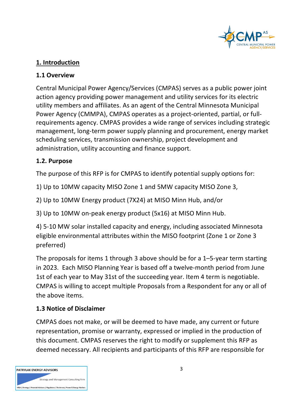

#### **1. Introduction**

#### **1.1 Overview**

Central Municipal Power Agency/Services (CMPAS) serves as a public power joint action agency providing power management and utility services for its electric utility members and affiliates. As an agent of the Central Minnesota Municipal Power Agency (CMMPA), CMPAS operates as a project-oriented, partial, or fullrequirements agency. CMPAS provides a wide range of services including strategic management, long-term power supply planning and procurement, energy market scheduling services, transmission ownership, project development and administration, utility accounting and finance support.

#### **1.2. Purpose**

The purpose of this RFP is for CMPAS to identify potential supply options for:

1) Up to 10MW capacity MISO Zone 1 and 5MW capacity MISO Zone 3,

2) Up to 10MW Energy product (7X24) at MISO Minn Hub, and/or

3) Up to 10MW on-peak energy product (5x16) at MISO Minn Hub.

4) 5-10 MW solar installed capacity and energy, including associated Minnesota eligible environmental attributes within the MISO footprint (Zone 1 or Zone 3 preferred)

The proposals for items 1 through 3 above should be for a 1–5-year term starting in 2023. Each MISO Planning Year is based off a twelve-month period from June 1st of each year to May 31st of the succeeding year. Item 4 term is negotiable. CMPAS is willing to accept multiple Proposals from a Respondent for any or all of the above items.

#### **1.3 Notice of Disclaimer**

CMPAS does not make, or will be deemed to have made, any current or future representation, promise or warranty, expressed or implied in the production of this document. CMPAS reserves the right to modify or supplement this RFP as deemed necessary. All recipients and participants of this RFP are responsible for

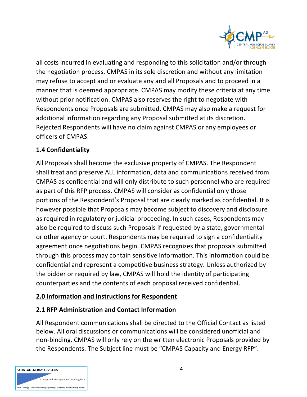

all costs incurred in evaluating and responding to this solicitation and/or through the negotiation process. CMPAS in its sole discretion and without any limitation may refuse to accept and or evaluate any and all Proposals and to proceed in a manner that is deemed appropriate. CMPAS may modify these criteria at any time without prior notification. CMPAS also reserves the right to negotiate with Respondents once Proposals are submitted. CMPAS may also make a request for additional information regarding any Proposal submitted at its discretion. Rejected Respondents will have no claim against CMPAS or any employees or officers of CMPAS.

#### **1.4 Confidentiality**

All Proposals shall become the exclusive property of CMPAS. The Respondent shall treat and preserve ALL information, data and communications received from CMPAS as confidential and will only distribute to such personnel who are required as part of this RFP process. CMPAS will consider as confidential only those portions of the Respondent's Proposal that are clearly marked as confidential. It is however possible that Proposals may become subject to discovery and disclosure as required in regulatory or judicial proceeding. In such cases, Respondents may also be required to discuss such Proposals if requested by a state, governmental or other agency or court. Respondents may be required to sign a confidentiality agreement once negotiations begin. CMPAS recognizes that proposals submitted through this process may contain sensitive information. This information could be confidential and represent a competitive business strategy. Unless authorized by the bidder or required by law, CMPAS will hold the identity of participating counterparties and the contents of each proposal received confidential.

#### **2.0 Information and Instructions for Respondent**

#### **2.1 RFP Administration and Contact Information**

All Respondent communications shall be directed to the Official Contact as listed below. All oral discussions or communications will be considered unofficial and non-binding. CMPAS will only rely on the written electronic Proposals provided by the Respondents. The Subject line must be "CMPAS Capacity and Energy RFP".

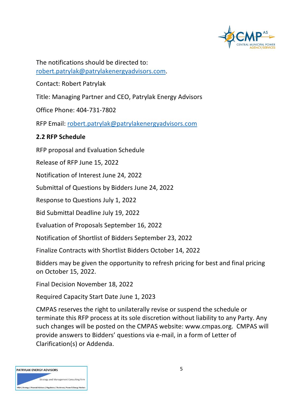

The notifications should be directed to: [robert.patrylak@patrylakenergyadvisors.com.](mailto:robert.patrylak@patrylakenergyadvisors.com)

Contact: Robert Patrylak

Title: Managing Partner and CEO, Patrylak Energy Advisors

Office Phone: 404-731-7802

RFP Email: [robert.patrylak@patrylakenergyadvisors.com](mailto:robert.patrylak@patrylakenergyadvisors.com)

#### **2.2 RFP Schedule**

RFP proposal and Evaluation Schedule

Release of RFP June 15, 2022

Notification of Interest June 24, 2022

Submittal of Questions by Bidders June 24, 2022

Response to Questions July 1, 2022

Bid Submittal Deadline July 19, 2022

Evaluation of Proposals September 16, 2022

Notification of Shortlist of Bidders September 23, 2022

Finalize Contracts with Shortlist Bidders October 14, 2022

Bidders may be given the opportunity to refresh pricing for best and final pricing on October 15, 2022.

Final Decision November 18, 2022

Required Capacity Start Date June 1, 2023

CMPAS reserves the right to unilaterally revise or suspend the schedule or terminate this RFP process at its sole discretion without liability to any Party. Any such changes will be posted on the CMPAS website: www.cmpas.org. CMPAS will provide answers to Bidders' questions via e-mail, in a form of Letter of Clarification(s) or Addenda.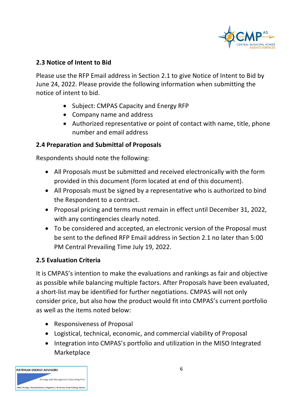

#### **2.3 Notice of Intent to Bid**

Please use the RFP Email address in Section 2.1 to give Notice of Intent to Bid by June 24, 2022. Please provide the following information when submitting the notice of intent to bid.

- Subject: CMPAS Capacity and Energy RFP
- Company name and address
- Authorized representative or point of contact with name, title, phone number and email address

#### **2.4 Preparation and Submittal of Proposals**

Respondents should note the following:

- All Proposals must be submitted and received electronically with the form provided in this document (form located at end of this document).
- All Proposals must be signed by a representative who is authorized to bind the Respondent to a contract.
- Proposal pricing and terms must remain in effect until December 31, 2022, with any contingencies clearly noted.
- To be considered and accepted, an electronic version of the Proposal must be sent to the defined RFP Email address in Section 2.1 no later than 5:00 PM Central Prevailing Time July 19, 2022.

#### **2.5 Evaluation Criteria**

It is CMPAS's intention to make the evaluations and rankings as fair and objective as possible while balancing multiple factors. After Proposals have been evaluated, a short-list may be identified for further negotiations. CMPAS will not only consider price, but also how the product would fit into CMPAS's current portfolio as well as the items noted below:

- Responsiveness of Proposal
- Logistical, technical, economic, and commercial viability of Proposal
- Integration into CMPAS's portfolio and utilization in the MISO Integrated Marketplace

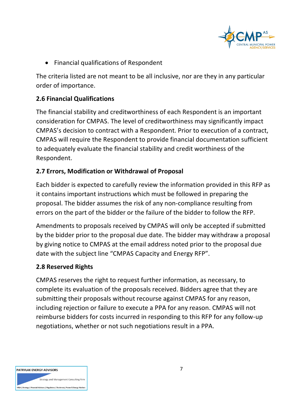

• Financial qualifications of Respondent

The criteria listed are not meant to be all inclusive, nor are they in any particular order of importance.

#### **2.6 Financial Qualifications**

The financial stability and creditworthiness of each Respondent is an important consideration for CMPAS. The level of creditworthiness may significantly impact CMPAS's decision to contract with a Respondent. Prior to execution of a contract, CMPAS will require the Respondent to provide financial documentation sufficient to adequately evaluate the financial stability and credit worthiness of the Respondent.

#### **2.7 Errors, Modification or Withdrawal of Proposal**

Each bidder is expected to carefully review the information provided in this RFP as it contains important instructions which must be followed in preparing the proposal. The bidder assumes the risk of any non-compliance resulting from errors on the part of the bidder or the failure of the bidder to follow the RFP.

Amendments to proposals received by CMPAS will only be accepted if submitted by the bidder prior to the proposal due date. The bidder may withdraw a proposal by giving notice to CMPAS at the email address noted prior to the proposal due date with the subject line "CMPAS Capacity and Energy RFP".

#### **2.8 Reserved Rights**

CMPAS reserves the right to request further information, as necessary, to complete its evaluation of the proposals received. Bidders agree that they are submitting their proposals without recourse against CMPAS for any reason, including rejection or failure to execute a PPA for any reason. CMPAS will not reimburse bidders for costs incurred in responding to this RFP for any follow-up negotiations, whether or not such negotiations result in a PPA.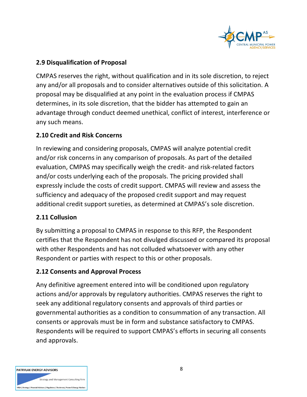

#### **2.9 Disqualification of Proposal**

CMPAS reserves the right, without qualification and in its sole discretion, to reject any and/or all proposals and to consider alternatives outside of this solicitation. A proposal may be disqualified at any point in the evaluation process if CMPAS determines, in its sole discretion, that the bidder has attempted to gain an advantage through conduct deemed unethical, conflict of interest, interference or any such means.

#### **2.10 Credit and Risk Concerns**

In reviewing and considering proposals, CMPAS will analyze potential credit and/or risk concerns in any comparison of proposals. As part of the detailed evaluation, CMPAS may specifically weigh the credit- and risk-related factors and/or costs underlying each of the proposals. The pricing provided shall expressly include the costs of credit support. CMPAS will review and assess the sufficiency and adequacy of the proposed credit support and may request additional credit support sureties, as determined at CMPAS's sole discretion.

#### **2.11 Collusion**

By submitting a proposal to CMPAS in response to this RFP, the Respondent certifies that the Respondent has not divulged discussed or compared its proposal with other Respondents and has not colluded whatsoever with any other Respondent or parties with respect to this or other proposals.

#### **2.12 Consents and Approval Process**

Any definitive agreement entered into will be conditioned upon regulatory actions and/or approvals by regulatory authorities. CMPAS reserves the right to seek any additional regulatory consents and approvals of third parties or governmental authorities as a condition to consummation of any transaction. All consents or approvals must be in form and substance satisfactory to CMPAS. Respondents will be required to support CMPAS's efforts in securing all consents and approvals.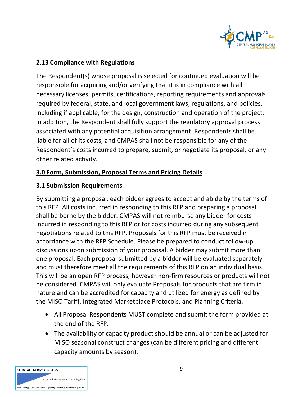

#### **2.13 Compliance with Regulations**

The Respondent(s) whose proposal is selected for continued evaluation will be responsible for acquiring and/or verifying that it is in compliance with all necessary licenses, permits, certifications, reporting requirements and approvals required by federal, state, and local government laws, regulations, and policies, including if applicable, for the design, construction and operation of the project. In addition, the Respondent shall fully support the regulatory approval process associated with any potential acquisition arrangement. Respondents shall be liable for all of its costs, and CMPAS shall not be responsible for any of the Respondent's costs incurred to prepare, submit, or negotiate its proposal, or any other related activity.

#### **3.0 Form, Submission, Proposal Terms and Pricing Details**

#### **3.1 Submission Requirements**

By submitting a proposal, each bidder agrees to accept and abide by the terms of this RFP. All costs incurred in responding to this RFP and preparing a proposal shall be borne by the bidder. CMPAS will not reimburse any bidder for costs incurred in responding to this RFP or for costs incurred during any subsequent negotiations related to this RFP. Proposals for this RFP must be received in accordance with the RFP Schedule. Please be prepared to conduct follow-up discussions upon submission of your proposal. A bidder may submit more than one proposal. Each proposal submitted by a bidder will be evaluated separately and must therefore meet all the requirements of this RFP on an individual basis. This will be an open RFP process, however non-firm resources or products will not be considered. CMPAS will only evaluate Proposals for products that are firm in nature and can be accredited for capacity and utilized for energy as defined by the MISO Tariff, Integrated Marketplace Protocols, and Planning Criteria.

- All Proposal Respondents MUST complete and submit the form provided at the end of the RFP.
- The availability of capacity product should be annual or can be adjusted for MISO seasonal construct changes (can be different pricing and different capacity amounts by season).

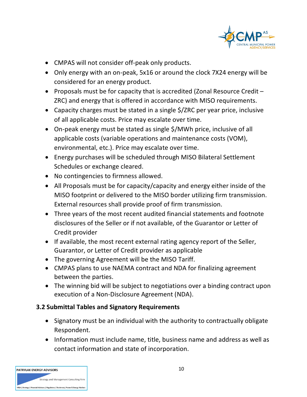

- CMPAS will not consider off-peak only products.
- Only energy with an on-peak, 5x16 or around the clock 7X24 energy will be considered for an energy product.
- Proposals must be for capacity that is accredited (Zonal Resource Credit ZRC) and energy that is offered in accordance with MISO requirements.
- Capacity charges must be stated in a single \$/ZRC per year price, inclusive of all applicable costs. Price may escalate over time.
- On-peak energy must be stated as single \$/MWh price, inclusive of all applicable costs (variable operations and maintenance costs (VOM), environmental, etc.). Price may escalate over time.
- Energy purchases will be scheduled through MISO Bilateral Settlement Schedules or exchange cleared.
- No contingencies to firmness allowed.
- All Proposals must be for capacity/capacity and energy either inside of the MISO footprint or delivered to the MISO border utilizing firm transmission. External resources shall provide proof of firm transmission.
- Three years of the most recent audited financial statements and footnote disclosures of the Seller or if not available, of the Guarantor or Letter of Credit provider
- If available, the most recent external rating agency report of the Seller, Guarantor, or Letter of Credit provider as applicable
- The governing Agreement will be the MISO Tariff.
- CMPAS plans to use NAEMA contract and NDA for finalizing agreement between the parties.
- The winning bid will be subject to negotiations over a binding contract upon execution of a Non-Disclosure Agreement (NDA).

#### **3.2 Submittal Tables and Signatory Requirements**

- Signatory must be an individual with the authority to contractually obligate Respondent.
- Information must include name, title, business name and address as well as contact information and state of incorporation.

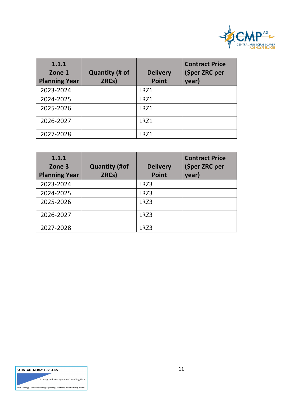

| 1.1.1<br>Zone 1<br><b>Planning Year</b> | <b>Quantity (# of</b><br>ZRCs) | <b>Delivery</b><br><b>Point</b> | <b>Contract Price</b><br>(\$per ZRC per<br>year) |
|-----------------------------------------|--------------------------------|---------------------------------|--------------------------------------------------|
| 2023-2024                               |                                | LRZ1                            |                                                  |
| 2024-2025                               |                                | LRZ1                            |                                                  |
| 2025-2026                               |                                | LRZ1                            |                                                  |
| 2026-2027                               |                                | LRZ1                            |                                                  |
| 2027-2028                               |                                | LRZ1                            |                                                  |

| 1.1.1<br>Zone 3<br><b>Planning Year</b> | <b>Quantity (#of</b><br>ZRCs) | <b>Delivery</b><br><b>Point</b> | <b>Contract Price</b><br>(\$per ZRC per<br>year) |
|-----------------------------------------|-------------------------------|---------------------------------|--------------------------------------------------|
| 2023-2024                               |                               | LRZ3                            |                                                  |
| 2024-2025                               |                               | LRZ3                            |                                                  |
| 2025-2026                               |                               | LRZ3                            |                                                  |
| 2026-2027                               |                               | LRZ3                            |                                                  |
| 2027-2028                               |                               | LRZ3                            |                                                  |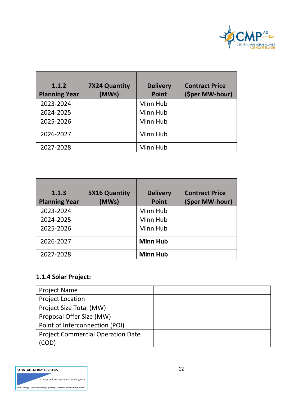

| 1.1.2<br><b>Planning Year</b> | <b>7X24 Quantity</b><br>(MWs) | <b>Delivery</b><br><b>Point</b> | <b>Contract Price</b><br>(\$per MW-hour) |
|-------------------------------|-------------------------------|---------------------------------|------------------------------------------|
| 2023-2024                     |                               | Minn Hub                        |                                          |
| 2024-2025                     |                               | Minn Hub                        |                                          |
| 2025-2026                     |                               | Minn Hub                        |                                          |
| 2026-2027                     |                               | Minn Hub                        |                                          |
| 2027-2028                     |                               | Minn Hub                        |                                          |

| 1.1.3<br><b>Planning Year</b> | <b>5X16 Quantity</b><br>(MWs) | <b>Delivery</b><br><b>Point</b> | <b>Contract Price</b><br>(\$per MW-hour) |
|-------------------------------|-------------------------------|---------------------------------|------------------------------------------|
| 2023-2024                     |                               | Minn Hub                        |                                          |
| 2024-2025                     |                               | Minn Hub                        |                                          |
| 2025-2026                     |                               | Minn Hub                        |                                          |
| 2026-2027                     |                               | <b>Minn Hub</b>                 |                                          |
| 2027-2028                     |                               | <b>Minn Hub</b>                 |                                          |

### **1.1.4 Solar Project:**

| <b>Project Name</b>                      |  |
|------------------------------------------|--|
| <b>Project Location</b>                  |  |
| Project Size Total (MW)                  |  |
| Proposal Offer Size (MW)                 |  |
| Point of Interconnection (POI)           |  |
| <b>Project Commercial Operation Date</b> |  |
| (COD'                                    |  |

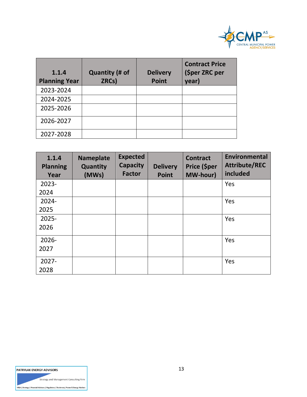

| 1.1.4<br><b>Planning Year</b> | <b>Quantity (# of</b><br>ZRCs) | <b>Delivery</b><br><b>Point</b> | <b>Contract Price</b><br>(\$per ZRC per<br>year) |
|-------------------------------|--------------------------------|---------------------------------|--------------------------------------------------|
| 2023-2024                     |                                |                                 |                                                  |
| 2024-2025                     |                                |                                 |                                                  |
| 2025-2026                     |                                |                                 |                                                  |
| 2026-2027                     |                                |                                 |                                                  |
| 2027-2028                     |                                |                                 |                                                  |

| 1.1.4<br><b>Planning</b><br>Year | <b>Nameplate</b><br><b>Quantity</b><br>(MWs) | <b>Expected</b><br><b>Capacity</b><br><b>Factor</b> | <b>Delivery</b><br><b>Point</b> | <b>Contract</b><br>Price (\$per<br><b>MW-hour)</b> | <b>Environmental</b><br><b>Attribute/REC</b><br>included |
|----------------------------------|----------------------------------------------|-----------------------------------------------------|---------------------------------|----------------------------------------------------|----------------------------------------------------------|
| $2023 -$                         |                                              |                                                     |                                 |                                                    | Yes                                                      |
| 2024                             |                                              |                                                     |                                 |                                                    |                                                          |
| $2024 -$                         |                                              |                                                     |                                 |                                                    | Yes                                                      |
| 2025                             |                                              |                                                     |                                 |                                                    |                                                          |
| 2025-                            |                                              |                                                     |                                 |                                                    | Yes                                                      |
| 2026                             |                                              |                                                     |                                 |                                                    |                                                          |
| $2026 -$                         |                                              |                                                     |                                 |                                                    | Yes                                                      |
| 2027                             |                                              |                                                     |                                 |                                                    |                                                          |
| $2027 -$                         |                                              |                                                     |                                 |                                                    | Yes                                                      |
| 2028                             |                                              |                                                     |                                 |                                                    |                                                          |